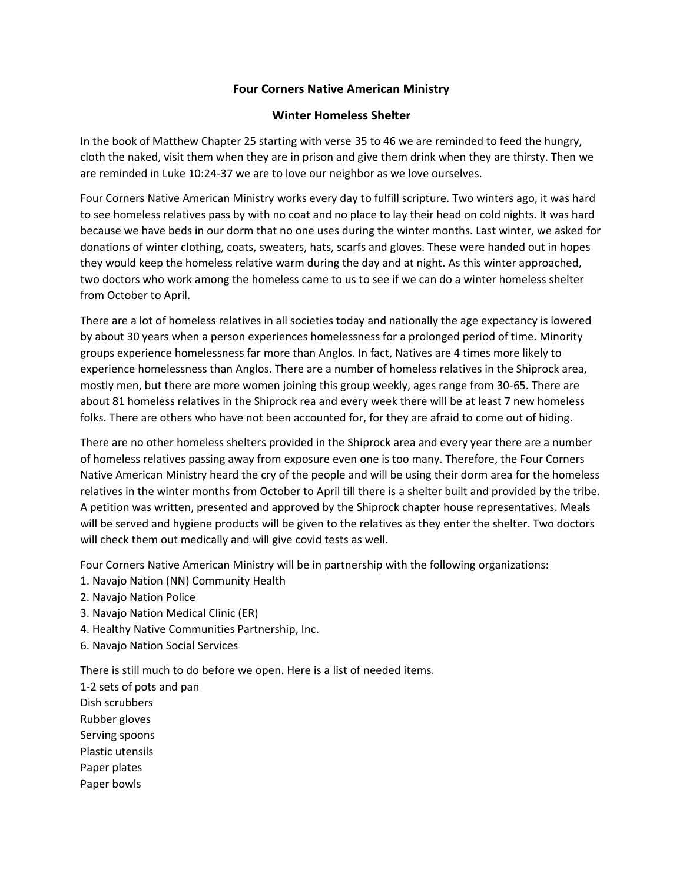## **Four Corners Native American Ministry**

## **Winter Homeless Shelter**

In the book of Matthew Chapter 25 starting with verse 35 to 46 we are reminded to feed the hungry, cloth the naked, visit them when they are in prison and give them drink when they are thirsty. Then we are reminded in Luke 10:24-37 we are to love our neighbor as we love ourselves.

Four Corners Native American Ministry works every day to fulfill scripture. Two winters ago, it was hard to see homeless relatives pass by with no coat and no place to lay their head on cold nights. It was hard because we have beds in our dorm that no one uses during the winter months. Last winter, we asked for donations of winter clothing, coats, sweaters, hats, scarfs and gloves. These were handed out in hopes they would keep the homeless relative warm during the day and at night. As this winter approached, two doctors who work among the homeless came to us to see if we can do a winter homeless shelter from October to April.

There are a lot of homeless relatives in all societies today and nationally the age expectancy is lowered by about 30 years when a person experiences homelessness for a prolonged period of time. Minority groups experience homelessness far more than Anglos. In fact, Natives are 4 times more likely to experience homelessness than Anglos. There are a number of homeless relatives in the Shiprock area, mostly men, but there are more women joining this group weekly, ages range from 30-65. There are about 81 homeless relatives in the Shiprock rea and every week there will be at least 7 new homeless folks. There are others who have not been accounted for, for they are afraid to come out of hiding.

There are no other homeless shelters provided in the Shiprock area and every year there are a number of homeless relatives passing away from exposure even one is too many. Therefore, the Four Corners Native American Ministry heard the cry of the people and will be using their dorm area for the homeless relatives in the winter months from October to April till there is a shelter built and provided by the tribe. A petition was written, presented and approved by the Shiprock chapter house representatives. Meals will be served and hygiene products will be given to the relatives as they enter the shelter. Two doctors will check them out medically and will give covid tests as well.

Four Corners Native American Ministry will be in partnership with the following organizations:

- 1. Navajo Nation (NN) Community Health
- 2. Navajo Nation Police
- 3. Navajo Nation Medical Clinic (ER)
- 4. Healthy Native Communities Partnership, Inc.
- 6. Navajo Nation Social Services

There is still much to do before we open. Here is a list of needed items.

1-2 sets of pots and pan Dish scrubbers Rubber gloves Serving spoons Plastic utensils Paper plates Paper bowls